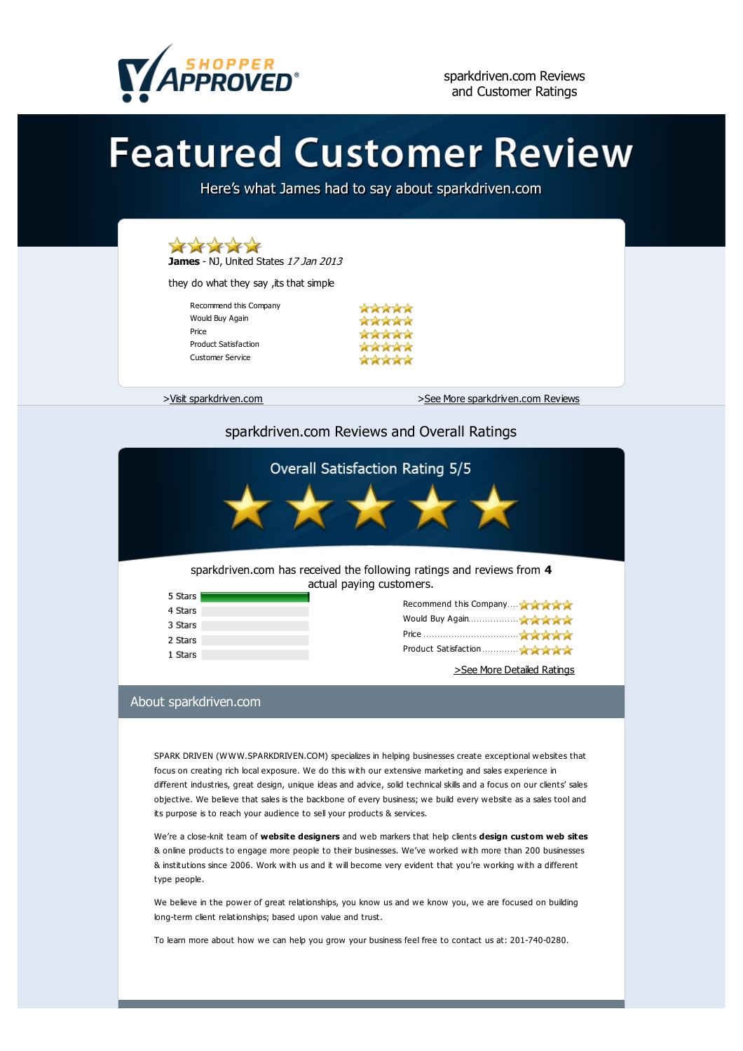

# **Featured Customer Review**

Here's what James had to say about sparkdriven.com



# sparkdriven.com Reviews and Overall Ratings



### sparkdriven.com has received the following ratings and reviews from **4** actual paying customers.

| 5 Stars |                                                 |  |
|---------|-------------------------------------------------|--|
| 4 Stars | Recommend this Company A A A A                  |  |
| 3 Stars | Would Buy Again <b>All Accounts of Accounts</b> |  |
|         | Price                                           |  |
| 2 Stars |                                                 |  |
| 1 Stars | Product Satisfaction                            |  |
|         |                                                 |  |

>See More Detailed Ratings

# About sparkdriven.com

SPARK DRIVEN (WWW.SPARKDRIVEN.COM) specializes in helping businesses create exceptional websites that focus on creating rich local exposure. We do this with our extensive marketing and sales experience in different industries, great design, unique ideas and advice, solid technical skills and a focus on our clients' sales objective. We believe that sales is the backbone of every business; we build every website as a sales tool and its purpose is to reach your audience to sell your products & services.

We're a close-knit team of **website designers** and web markers that help clients **design [custom](http://sparkdriven.com) web sites** & online products to engage more people to their businesses. We've worked with more than 200 businesses & institutions since 2006. Work with us and it will become very evident that you're working with a different type people.

We believe in the power of great relationships, you know us and we know you, we are focused on building long-term client relationships; based upon value and trust.

To learn more about how we can help you grow your business feel free to contact us at: 201-740-0280.